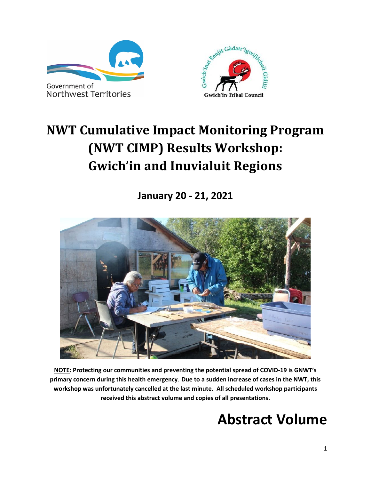



# <span id="page-0-1"></span><span id="page-0-0"></span>**NWT Cumulative Impact Monitoring Program (NWT CIMP) Results Workshop: Gwich'in and Inuvialuit Regions**

**January 20 - 21, 2021**



**NOTE: Protecting our communities and preventing the potential spread of COVID-19 is GNWT's primary concern during this health emergency**. **Due to a sudden increase of cases in the NWT, this workshop was unfortunately cancelled at the last minute. All scheduled workshop participants received this abstract volume and copies of all presentations.**

# **Abstract Volume**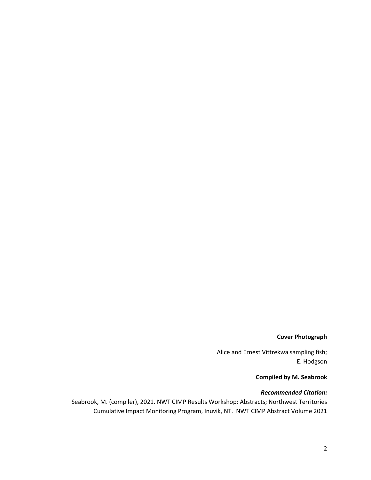#### **Cover Photograph**

Alice and Ernest Vittrekwa sampling fish; E. Hodgson

#### **Compiled by M. Seabrook**

#### *Recommended Citation:*

Seabrook, M. (compiler), 2021. NWT CIMP Results Workshop: Abstracts; Northwest Territories Cumulative Impact Monitoring Program, Inuvik, NT. NWT CIMP Abstract Volume 2021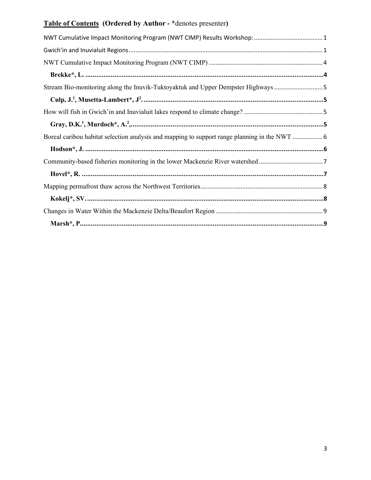# **Table of Contents (Ordered by Author -** \*denotes presenter**)**

| Stream Bio-monitoring along the Inuvik-Tuktoyaktuk and Upper Dempster Highways 5             |  |
|----------------------------------------------------------------------------------------------|--|
|                                                                                              |  |
|                                                                                              |  |
|                                                                                              |  |
| Boreal caribou habitat selection analysis and mapping to support range planning in the NWT 6 |  |
|                                                                                              |  |
| Community-based fisheries monitoring in the lower Mackenzie River watershed7                 |  |
|                                                                                              |  |
|                                                                                              |  |
|                                                                                              |  |
|                                                                                              |  |
|                                                                                              |  |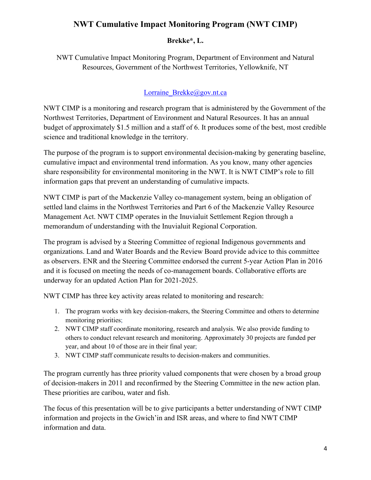# <span id="page-3-0"></span>**NWT Cumulative Impact Monitoring Program (NWT CIMP)**

## **Brekke\*, L.**

<span id="page-3-1"></span>NWT Cumulative Impact Monitoring Program, Department of Environment and Natural Resources, Government of the Northwest Territories, Yellowknife, NT

## [Lorraine\\_Brekke@gov.nt.ca](mailto:Lorraine_Brekke@gov.nt.ca)

NWT CIMP is a monitoring and research program that is administered by the Government of the Northwest Territories, Department of Environment and Natural Resources. It has an annual budget of approximately \$1.5 million and a staff of 6. It produces some of the best, most credible science and traditional knowledge in the territory.

The purpose of the program is to support environmental decision-making by generating baseline, cumulative impact and environmental trend information. As you know, many other agencies share responsibility for environmental monitoring in the NWT. It is NWT CIMP's role to fill information gaps that prevent an understanding of cumulative impacts.

NWT CIMP is part of the Mackenzie Valley co-management system, being an obligation of settled land claims in the Northwest Territories and Part 6 of the Mackenzie Valley Resource Management Act. NWT CIMP operates in the Inuvialuit Settlement Region through a memorandum of understanding with the Inuvialuit Regional Corporation.

The program is advised by a Steering Committee of regional Indigenous governments and organizations. Land and Water Boards and the Review Board provide advice to this committee as observers. ENR and the Steering Committee endorsed the current 5-year Action Plan in 2016 and it is focused on meeting the needs of co-management boards. Collaborative efforts are underway for an updated Action Plan for 2021-2025.

NWT CIMP has three key activity areas related to monitoring and research:

- 1. The program works with key decision-makers, the Steering Committee and others to determine monitoring priorities;
- 2. NWT CIMP staff coordinate monitoring, research and analysis. We also provide funding to others to conduct relevant research and monitoring. Approximately 30 projects are funded per year, and about 10 of those are in their final year;
- 3. NWT CIMP staff communicate results to decision-makers and communities.

The program currently has three priority valued components that were chosen by a broad group of decision-makers in 2011 and reconfirmed by the Steering Committee in the new action plan. These priorities are caribou, water and fish.

The focus of this presentation will be to give participants a better understanding of NWT CIMP information and projects in the Gwich'in and ISR areas, and where to find NWT CIMP information and data.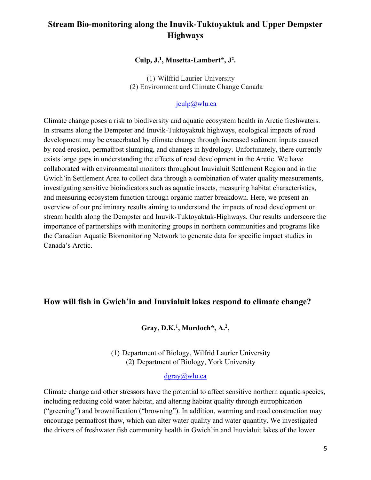# <span id="page-4-1"></span><span id="page-4-0"></span>**Stream Bio-monitoring along the Inuvik-Tuktoyaktuk and Upper Dempster Highways**

#### **Culp, J.1, Musetta-Lambert\*, J2.**

(1) Wilfrid Laurier University (2) Environment and Climate Change Canada

#### [jculp@wlu.ca](mailto:jculp@wlu.ca)

Climate change poses a risk to biodiversity and aquatic ecosystem health in Arctic freshwaters. In streams along the Dempster and Inuvik-Tuktoyaktuk highways, ecological impacts of road development may be exacerbated by climate change through increased sediment inputs caused by road erosion, permafrost slumping, and changes in hydrology. Unfortunately, there currently exists large gaps in understanding the effects of road development in the Arctic. We have collaborated with environmental monitors throughout Inuvialuit Settlement Region and in the Gwich'in Settlement Area to collect data through a combination of water quality measurements, investigating sensitive bioindicators such as aquatic insects, measuring habitat characteristics, and measuring ecosystem function through organic matter breakdown. Here, we present an overview of our preliminary results aiming to understand the impacts of road development on stream health along the Dempster and Inuvik-Tuktoyaktuk-Highways. Our results underscore the importance of partnerships with monitoring groups in northern communities and programs like the Canadian Aquatic Biomonitoring Network to generate data for specific impact studies in Canada's Arctic.

## <span id="page-4-3"></span><span id="page-4-2"></span>**How will fish in Gwich'in and Inuvialuit lakes respond to climate change?**

## **Gray, D.K.1, Murdoch\*, A.2,**

(1) Department of Biology, Wilfrid Laurier University (2) Department of Biology, York University

#### [dgray@wlu.ca](mailto:dgray@wlu.ca)

Climate change and other stressors have the potential to affect sensitive northern aquatic species, including reducing cold water habitat, and altering habitat quality through eutrophication ("greening") and brownification ("browning"). In addition, warming and road construction may encourage permafrost thaw, which can alter water quality and water quantity. We investigated the drivers of freshwater fish community health in Gwich'in and Inuvialuit lakes of the lower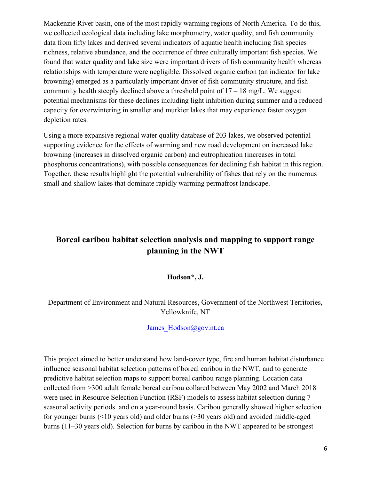Mackenzie River basin, one of the most rapidly warming regions of North America. To do this, we collected ecological data including lake morphometry, water quality, and fish community data from fifty lakes and derived several indicators of aquatic health including fish species richness, relative abundance, and the occurrence of three culturally important fish species. We found that water quality and lake size were important drivers of fish community health whereas relationships with temperature were negligible. Dissolved organic carbon (an indicator for lake browning) emerged as a particularly important driver of fish community structure, and fish community health steeply declined above a threshold point of  $17 - 18$  mg/L. We suggest potential mechanisms for these declines including light inhibition during summer and a reduced capacity for overwintering in smaller and murkier lakes that may experience faster oxygen depletion rates.

Using a more expansive regional water quality database of 203 lakes, we observed potential supporting evidence for the effects of warming and new road development on increased lake browning (increases in dissolved organic carbon) and eutrophication (increases in total phosphorus concentrations), with possible consequences for declining fish habitat in this region. Together, these results highlight the potential vulnerability of fishes that rely on the numerous small and shallow lakes that dominate rapidly warming permafrost landscape.

# <span id="page-5-0"></span>**Boreal caribou habitat selection analysis and mapping to support range planning in the NWT**

#### **Hodson\*, J.**

## <span id="page-5-1"></span>Department of Environment and Natural Resources, Government of the Northwest Territories, Yellowknife, NT

#### James Hodson@gov.nt.ca

This project aimed to better understand how land-cover type, fire and human habitat disturbance influence seasonal habitat selection patterns of boreal caribou in the NWT, and to generate predictive habitat selection maps to support boreal caribou range planning. Location data collected from >300 adult female boreal caribou collared between May 2002 and March 2018 were used in Resource Selection Function (RSF) models to assess habitat selection during 7 seasonal activity periods and on a year-round basis. Caribou generally showed higher selection for younger burns (<10 years old) and older burns (>30 years old) and avoided middle-aged burns (11–30 years old). Selection for burns by caribou in the NWT appeared to be strongest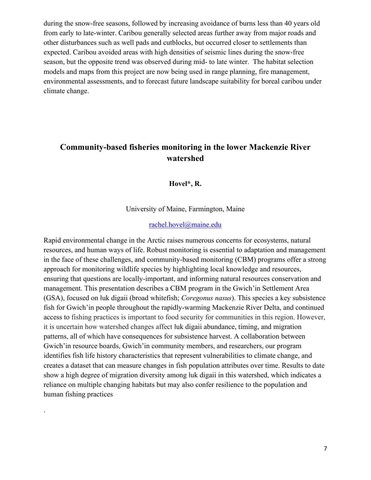during the snow-free seasons, followed by increasing avoidance of burns less than 40 years old from early to late-winter. Caribou generally selected areas further away from major roads and other disturbances such as well pads and cutblocks, but occurred closer to settlements than expected. Caribou avoided areas with high densities of seismic lines during the snow-free season, but the opposite trend was observed during mid- to late winter. The habitat selection models and maps from this project are now being used in range planning, fire management, environmental assessments, and to forecast future landscape suitability for boreal caribou under climate change.

# <span id="page-6-1"></span><span id="page-6-0"></span>**Community-based fisheries monitoring in the lower Mackenzie River watershed**

**Hovel\*, R.**

University of Maine, Farmington, Maine

#### [rachel.hovel@maine.edu](mailto:rachel.hovel@maine.edu)

Rapid environmental change in the Arctic raises numerous concerns for ecosystems, natural resources, and human ways of life. Robust monitoring is essential to adaptation and management in the face of these challenges, and community-based monitoring (CBM) programs offer a strong approach for monitoring wildlife species by highlighting local knowledge and resources, ensuring that questions are locally-important, and informing natural resources conservation and management. This presentation describes a CBM program in the Gwich'in Settlement Area (GSA), focused on łuk digaii (broad whitefish; *Coregonus nasus*). This species a key subsistence fish for Gwich'in people throughout the rapidly-warming Mackenzie River Delta, and continued access to fishing practices is important to food security for communities in this region. However, it is uncertain how watershed changes affect łuk digaii abundance, timing, and migration patterns, all of which have consequences for subsistence harvest. A collaboration between Gwich'in resource boards, Gwich'in community members, and researchers, our program identifies fish life history characteristics that represent vulnerabilities to climate change, and creates a dataset that can measure changes in fish population attributes over time. Results to date show a high degree of migration diversity among łuk digaii in this watershed, which indicates a reliance on multiple changing habitats but may also confer resilience to the population and human fishing practices

.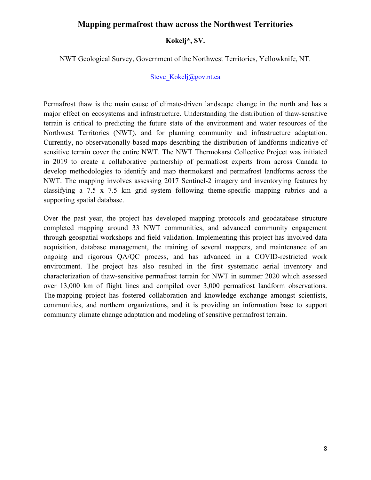### <span id="page-7-0"></span>**Mapping permafrost thaw across the Northwest Territories**

#### **Kokelj\*, SV.**

<span id="page-7-1"></span>NWT Geological Survey, Government of the Northwest Territories, Yellowknife, NT.

#### [Steve\\_Kokelj@gov.nt.ca](mailto:Steve_Kokelj@gov.nt.ca)

Permafrost thaw is the main cause of climate-driven landscape change in the north and has a major effect on ecosystems and infrastructure. Understanding the distribution of thaw-sensitive terrain is critical to predicting the future state of the environment and water resources of the Northwest Territories (NWT), and for planning community and infrastructure adaptation. Currently, no observationally-based maps describing the distribution of landforms indicative of sensitive terrain cover the entire NWT. The NWT Thermokarst Collective Project was initiated in 2019 to create a collaborative partnership of permafrost experts from across Canada to develop methodologies to identify and map thermokarst and permafrost landforms across the NWT. The mapping involves assessing 2017 Sentinel-2 imagery and inventorying features by classifying a 7.5 x 7.5 km grid system following theme-specific mapping rubrics and a supporting spatial database.

Over the past year, the project has developed mapping protocols and geodatabase structure completed mapping around 33 NWT communities, and advanced community engagement through geospatial workshops and field validation. Implementing this project has involved data acquisition, database management, the training of several mappers, and maintenance of an ongoing and rigorous QA/QC process, and has advanced in a COVID-restricted work environment. The project has also resulted in the first systematic aerial inventory and characterization of thaw-sensitive permafrost terrain for NWT in summer 2020 which assessed over 13,000 km of flight lines and compiled over 3,000 permafrost landform observations. The mapping project has fostered collaboration and knowledge exchange amongst scientists, communities, and northern organizations, and it is providing an information base to support community climate change adaptation and modeling of sensitive permafrost terrain.